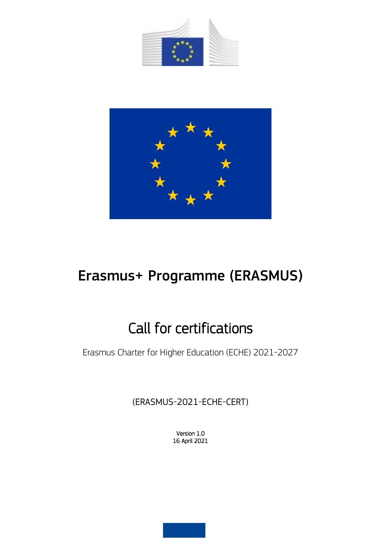



# Erasmus+ Programme (ERASMUS)

# Call for certifications

Erasmus Charter for Higher Education (ECHE) 2021-2027

(ERASMUS-2021-ECHE-CERT)

Version 1.0 16 April 2021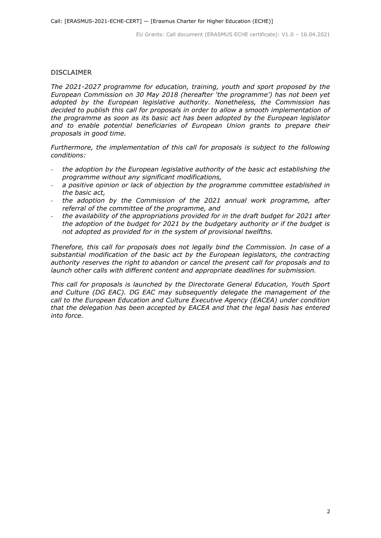#### DISCLAIMER

*The 2021-2027 programme for education, training, youth and sport proposed by the European Commission on 30 May 2018 (hereafter 'the programme') has not been yet adopted by the European legislative authority. Nonetheless, the Commission has decided to publish this call for proposals in order to allow a smooth implementation of the programme as soon as its basic act has been adopted by the European legislator*  and to enable potential beneficiaries of European Union grants to prepare their *proposals in good time.*

*Furthermore, the implementation of this call for proposals is subject to the following conditions:*

- the adoption by the European legislative authority of the basic act establishing the *programme without any significant modifications,*
- a positive opinion or lack of objection by the programme committee established in *the basic act,*
- *the adoption by the Commission of the 2021 annual work programme, after referral of the committee of the programme, and*
- *the availability of the appropriations provided for in the draft budget for 2021 after the adoption of the budget for 2021 by the budgetary authority or if the budget is not adopted as provided for in the system of provisional twelfths.*

*Therefore, this call for proposals does not legally bind the Commission. In case of a substantial modification of the basic act by the European legislators, the contracting authority reserves the right to abandon or cancel the present call for proposals and to launch other calls with different content and appropriate deadlines for submission.*

*This call for proposals is launched by the Directorate General Education, Youth Sport and Culture (DG EAC). DG EAC may subsequently delegate the management of the call to the European Education and Culture Executive Agency (EACEA) under condition that the delegation has been accepted by EACEA and that the legal basis has entered into force.*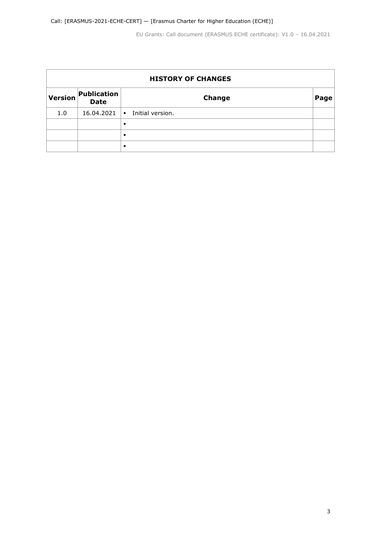| <b>HISTORY OF CHANGES</b> |                            |                                    |      |
|---------------------------|----------------------------|------------------------------------|------|
| <b>Version</b>            | Publication<br><b>Date</b> | <b>Change</b>                      | Page |
| 1.0                       | 16.04.2021                 | Initial version.<br>$\blacksquare$ |      |
|                           |                            | $\blacksquare$                     |      |
|                           |                            | $\blacksquare$                     |      |
|                           |                            | $\blacksquare$                     |      |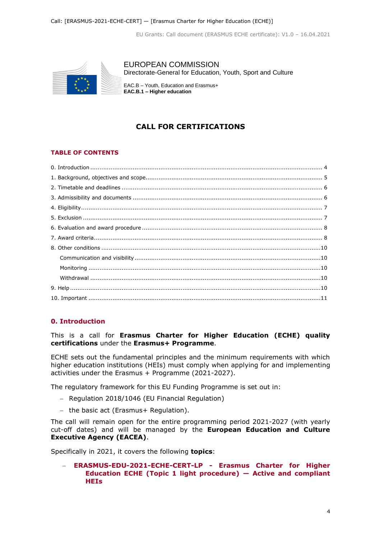

EUROPEAN COMMISSION Directorate-General for Education, Youth, Sport and Culture

EAC.B – Youth, Education and Erasmus+ **EAC.B.1 – Higher education**

# **CALL FOR CERTIFICATIONS**

# **TABLE OF CONTENTS**

# **0. Introduction**

This is a call for **Erasmus Charter for Higher Education (ECHE) quality certifications** under the **Erasmus+ Programme**.

ECHE sets out the fundamental principles and the minimum requirements with which higher education institutions (HEIs) must comply when applying for and implementing activities under the Erasmus + Programme (2021-2027).

The regulatory framework for this EU Funding Programme is set out in:

- Regulation 2018/1046 (EU Financial Regulation)
- the basic act (Erasmus+ Regulation).

The call will remain open for the entire programming period 2021-2027 (with yearly cut-off dates) and will be managed by the **European Education and Culture Executive Agency (EACEA)**.

Specifically in 2021, it covers the following **topics**:

 **ERASMUS-EDU-2021-ECHE-CERT-LP - Erasmus Charter for Higher Education ECHE (Topic 1 light procedure) — Active and compliant HEIs**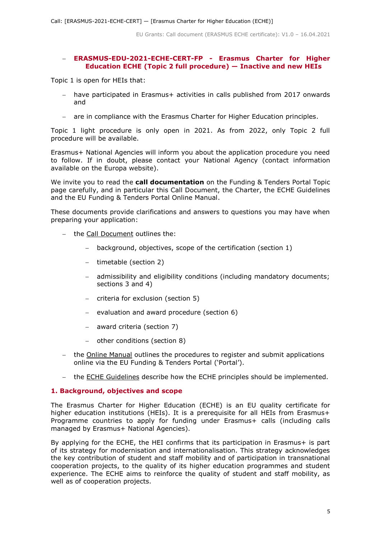## **ERASMUS-EDU-2021-ECHE-CERT-FP - Erasmus Charter for Higher Education ECHE (Topic 2 full procedure) — Inactive and new HEIs**

Topic 1 is open for HEIs that:

- have participated in Erasmus+ activities in calls published from 2017 onwards and
- are in compliance with the Erasmus Charter for Higher Education principles.

Topic 1 light procedure is only open in 2021. As from 2022, only Topic 2 full procedure will be available.

Erasmus+ National Agencies will inform you about the application procedure you need to follow. If in doubt, please contact your National Agency (contact information available on the Europa website).

We invite you to read the **call documentation** on the Funding & Tenders Portal Topic page carefully, and in particular this Call Document, the Charter, the ECHE Guidelines and the EU Funding & Tenders Portal Online Manual.

These documents provide clarifications and answers to questions you may have when preparing your application:

- the Call Document outlines the:
	- background, objectives, scope of the certification (section 1)
	- timetable (section 2)
	- admissibility and eligibility conditions (including mandatory documents; sections 3 and 4)
	- $-$  criteria for exclusion (section 5)
	- evaluation and award procedure (section 6)
	- award criteria (section 7)
	- other conditions (section 8)
- the Online Manual outlines the procedures to register and submit applications online via the EU Funding & Tenders Portal ('Portal').
- the ECHE Guidelines describe how the ECHE principles should be implemented.

## **1. Background, objectives and scope**

The Erasmus Charter for Higher Education (ECHE) is an EU quality certificate for higher education institutions (HEIs). It is a prerequisite for all HEIs from Erasmus+ Programme countries to apply for funding under Erasmus+ calls (including calls managed by Erasmus+ National Agencies).

By applying for the ECHE, the HEI confirms that its participation in Erasmus+ is part of its strategy for modernisation and internationalisation. This strategy acknowledges the key contribution of student and staff mobility and of participation in transnational cooperation projects, to the quality of its higher education programmes and student experience. The ECHE aims to reinforce the quality of student and staff mobility, as well as of cooperation projects.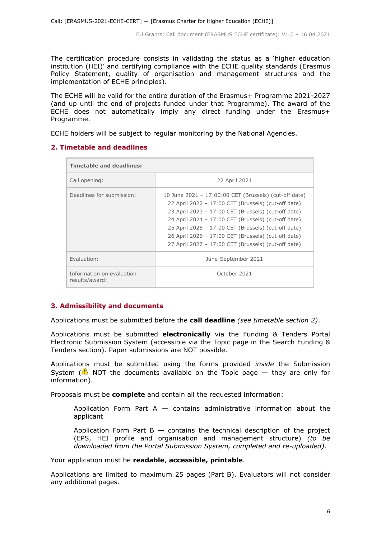The certification procedure consists in validating the status as a 'higher education institution (HEI)' and certifying compliance with the ECHE quality standards (Erasmus Policy Statement, quality of organisation and management structures and the implementation of ECHE principles).

The ECHE will be valid for the entire duration of the Erasmus+ Programme 2021-2027 (and up until the end of projects funded under that Programme). The award of the ECHE does not automatically imply any direct funding under the Erasmus+ Programme.

ECHE holders will be subject to regular monitoring by the National Agencies.

# **2. Timetable and deadlines**

| <b>Timetable and deadlines:</b>             |                                                                                                                                                                                                                                                                                                                                                                                                 |  |  |  |
|---------------------------------------------|-------------------------------------------------------------------------------------------------------------------------------------------------------------------------------------------------------------------------------------------------------------------------------------------------------------------------------------------------------------------------------------------------|--|--|--|
| Call opening:                               | 22 April 2021                                                                                                                                                                                                                                                                                                                                                                                   |  |  |  |
| Deadlines for submission:                   | 10 June 2021 - 17:00:00 CET (Brussels) (cut-off date)<br>22 April 2022 - 17:00 CET (Brussels) (cut-off date)<br>23 April 2023 - 17:00 CET (Brussels) (cut-off date)<br>24 April 2024 - 17:00 CET (Brussels) (cut-off date)<br>25 April 2025 - 17:00 CET (Brussels) (cut-off date)<br>26 April 2026 - 17:00 CET (Brussels) (cut-off date)<br>27 April 2027 - 17:00 CET (Brussels) (cut-off date) |  |  |  |
| Evaluation:                                 | June-September 2021                                                                                                                                                                                                                                                                                                                                                                             |  |  |  |
| Information on evaluation<br>results/award: | October 2021                                                                                                                                                                                                                                                                                                                                                                                    |  |  |  |

# **3. Admissibility and documents**

Applications must be submitted before the **call deadline** *(see timetable section 2)*.

Applications must be submitted **electronically** via the Funding & Tenders Portal Electronic Submission System (accessible via the Topic page in the Search Funding & Tenders section). Paper submissions are NOT possible.

Applications must be submitted using the forms provided *inside* the Submission System ( $\triangle$  NOT the documents available on the Topic page  $-$  they are only for information).

Proposals must be **complete** and contain all the requested information:

- $-$  Application Form Part A  $-$  contains administrative information about the applicant
- $-$  Application Form Part B  $-$  contains the technical description of the project (EPS, HEI profile and organisation and management structure) *(to be downloaded from the Portal Submission System, completed and re-uploaded)*.

Your application must be **readable**, **accessible, printable**.

Applications are limited to maximum 25 pages (Part B). Evaluators will not consider any additional pages.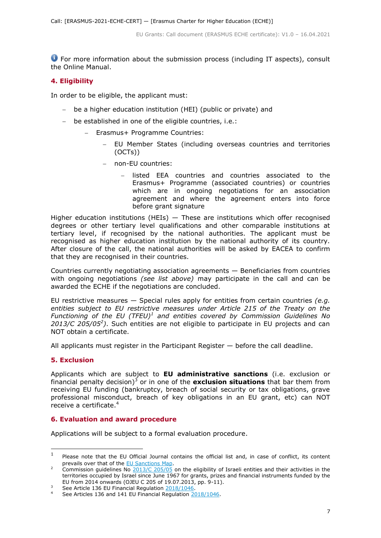For more information about the submission process (including IT aspects), consult the Online Manual.

# **4. Eligibility**

In order to be eligible, the applicant must:

- be a higher education institution (HEI) (public or private) and
- be established in one of the eligible countries, i.e.:
	- Erasmus+ Programme Countries:
		- EU Member States (including overseas countries and territories (OCTs))
		- non-EU countries:
			- listed EEA countries and countries associated to the Erasmus+ Programme (associated countries) or countries which are in ongoing negotiations for an association agreement and where the agreement enters into force before grant signature

Higher education institutions (HEIs)  $-$  These are institutions which offer recognised degrees or other tertiary level qualifications and other comparable institutions at tertiary level, if recognised by the national authorities. The applicant must be recognised as higher education institution by the national authority of its country. After closure of the call, the national authorities will be asked by EACEA to confirm that they are recognised in their countries.

Countries currently negotiating association agreements — Beneficiaries from countries with ongoing negotiations *(see list above)* may participate in the call and can be awarded the ECHE if the negotiations are concluded.

EU restrictive measures — Special rules apply for entities from certain countries *(e.g. entities subject to EU restrictive measures under Article 215 of the Treaty on the Functioning of the EU (TFEU)<sup>1</sup> and entities covered by Commission Guidelines No* 2013/C 205/05<sup>2</sup>). Such entities are not eligible to participate in EU projects and can NOT obtain a certificate.

All applicants must register in the Participant Register — before the call deadline.

# **5. Exclusion**

Applicants which are subject to **EU administrative sanctions** (i.e. exclusion or financial penalty decision)<sup>3</sup> or in one of the **exclusion situations** that bar them from receiving EU funding (bankruptcy, breach of social security or tax obligations, grave professional misconduct, breach of key obligations in an EU grant, etc) can NOT receive a certificate. 4

# **6. Evaluation and award procedure**

Applications will be subject to a formal evaluation procedure.

 $\frac{1}{1}$ Please note that the EU Official Journal contains the official list and, in case of conflict, its content prevails over that of the **EU Sanctions Map**.

<sup>2</sup> Commission guidelines No [2013/C 205/05](http://eur-lex.europa.eu/LexUriServ/LexUriServ.do?uri=OJ:C:2013:205:FULL:EN:PDF) on the eligibility of Israeli entities and their activities in the territories occupied by Israel since June 1967 for grants, prizes and financial instruments funded by the EU from 2014 onwards (OJEU C 205 of 19.07.2013, pp. 9-11).

See Article 136 EU Financial Regulation [2018/1046.](https://eur-lex.europa.eu/legal-content/EN/ALL/?uri=CELEX:32018R1046&qid=1535046024012)

See Articles 136 and 141 EU Financial Regulation [2018/1046.](https://eur-lex.europa.eu/legal-content/EN/ALL/?uri=CELEX:32018R1046&qid=1535046024012)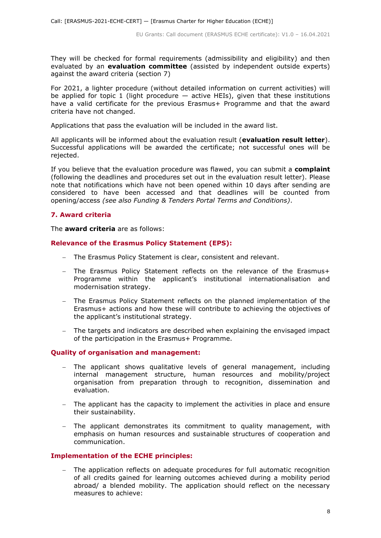They will be checked for formal requirements (admissibility and eligibility) and then evaluated by an **evaluation committee** (assisted by independent outside experts) against the award criteria (section 7)

For 2021, a lighter procedure (without detailed information on current activities) will be applied for topic 1 (light procedure  $-$  active HEIs), given that these institutions have a valid certificate for the previous Erasmus+ Programme and that the award criteria have not changed.

Applications that pass the evaluation will be included in the award list.

All applicants will be informed about the evaluation result (**evaluation result letter**). Successful applications will be awarded the certificate; not successful ones will be rejected.

If you believe that the evaluation procedure was flawed, you can submit a **complaint** (following the deadlines and procedures set out in the evaluation result letter). Please note that notifications which have not been opened within 10 days after sending are considered to have been accessed and that deadlines will be counted from opening/access *(see also Funding & Tenders Portal Terms and Conditions)*.

## **7. Award criteria**

The **award criteria** are as follows:

## **Relevance of the Erasmus Policy Statement (EPS):**

- The Erasmus Policy Statement is clear, consistent and relevant.
- The Erasmus Policy Statement reflects on the relevance of the Erasmus+ Programme within the applicant's institutional internationalisation and modernisation strategy.
- The Erasmus Policy Statement reflects on the planned implementation of the Erasmus+ actions and how these will contribute to achieving the objectives of the applicant's institutional strategy.
- The targets and indicators are described when explaining the envisaged impact of the participation in the Erasmus+ Programme.

## **Quality of organisation and management:**

- The applicant shows qualitative levels of general management, including internal management structure, human resources and mobility/project organisation from preparation through to recognition, dissemination and evaluation.
- The applicant has the capacity to implement the activities in place and ensure their sustainability.
- The applicant demonstrates its commitment to quality management, with emphasis on human resources and sustainable structures of cooperation and communication.

## **Implementation of the ECHE principles:**

 The application reflects on adequate procedures for full automatic recognition of all credits gained for learning outcomes achieved during a mobility period abroad/ a blended mobility. The application should reflect on the necessary measures to achieve: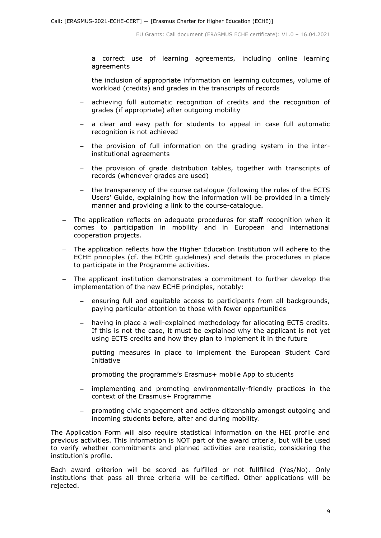- a correct use of learning agreements, including online learning agreements
- the inclusion of appropriate information on learning outcomes, volume of workload (credits) and grades in the transcripts of records
- achieving full automatic recognition of credits and the recognition of grades (if appropriate) after outgoing mobility
- a clear and easy path for students to appeal in case full automatic recognition is not achieved
- the provision of full information on the grading system in the interinstitutional agreements
- the provision of grade distribution tables, together with transcripts of records (whenever grades are used)
- the transparency of the course catalogue (following the rules of the ECTS Users' Guide, explaining how the information will be provided in a timely manner and providing a link to the course-catalogue.
- The application reflects on adequate procedures for staff recognition when it comes to participation in mobility and in European and international cooperation projects.
- The application reflects how the Higher Education Institution will adhere to the ECHE principles (cf. the ECHE guidelines) and details the procedures in place to participate in the Programme activities.
- The applicant institution demonstrates a commitment to further develop the implementation of the new ECHE principles, notably:
	- ensuring full and equitable access to participants from all backgrounds, paying particular attention to those with fewer opportunities
	- having in place a well-explained methodology for allocating ECTS credits. If this is not the case, it must be explained why the applicant is not yet using ECTS credits and how they plan to implement it in the future
	- putting measures in place to implement the European Student Card Initiative
	- promoting the programme's Erasmus+ mobile App to students
	- implementing and promoting environmentally-friendly practices in the context of the Erasmus+ Programme
	- promoting civic engagement and active citizenship amongst outgoing and incoming students before, after and during mobility.

The Application Form will also require statistical information on the HEI profile and previous activities. This information is NOT part of the award criteria, but will be used to verify whether commitments and planned activities are realistic, considering the institution's profile.

Each award criterion will be scored as fulfilled or not fullfilled (Yes/No). Only institutions that pass all three criteria will be certified. Other applications will be rejected.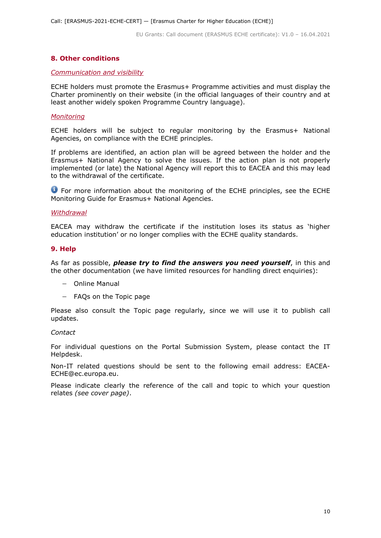## **8. Other conditions**

#### *Communication and visibility*

ECHE holders must promote the Erasmus+ Programme activities and must display the Charter prominently on their website (in the official languages of their country and at least another widely spoken Programme Country language).

#### *Monitoring*

ECHE holders will be subject to regular monitoring by the Erasmus+ National Agencies, on compliance with the ECHE principles.

If problems are identified, an action plan will be agreed between the holder and the Erasmus+ National Agency to solve the issues. If the action plan is not properly implemented (or late) the National Agency will report this to EACEA and this may lead to the withdrawal of the certificate.

**O** For more information about the monitoring of the ECHE principles, see the ECHE Monitoring Guide for Erasmus+ National Agencies.

#### *Withdrawal*

EACEA may withdraw the certificate if the institution loses its status as 'higher education institution' or no longer complies with the ECHE quality standards.

#### **9. Help**

As far as possible, *please try to find the answers you need yourself*, in this and the other documentation (we have limited resources for handling direct enquiries):

- Online Manual
- FAQs on the Topic page

Please also consult the Topic page regularly, since we will use it to publish call updates.

#### *Contact*

For individual questions on the Portal Submission System, please contact the IT Helpdesk.

Non-IT related questions should be sent to the following email address: EACEA-ECHE@ec.europa.eu.

Please indicate clearly the reference of the call and topic to which your question relates *(see cover page)*.